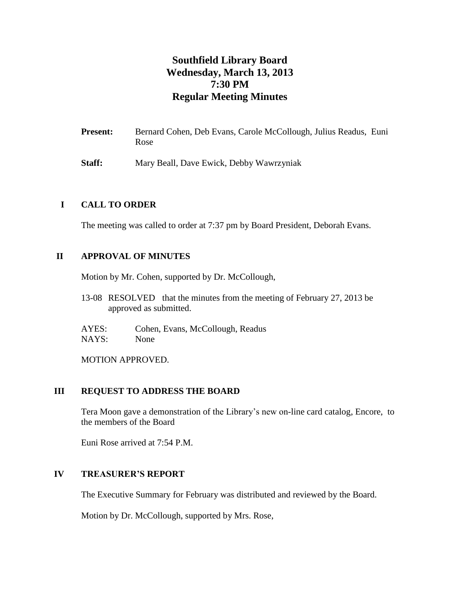# **Southfield Library Board Wednesday, March 13, 2013 7:30 PM Regular Meeting Minutes**

- **Present:** Bernard Cohen, Deb Evans, Carole McCollough, Julius Readus, Euni Rose
- **Staff:** Mary Beall, Dave Ewick, Debby Wawrzyniak

# **I CALL TO ORDER**

The meeting was called to order at 7:37 pm by Board President, Deborah Evans.

# **II APPROVAL OF MINUTES**

Motion by Mr. Cohen, supported by Dr. McCollough,

13-08 RESOLVED that the minutes from the meeting of February 27, 2013 be approved as submitted.

AYES: Cohen, Evans, McCollough, Readus NAYS: None

MOTION APPROVED.

#### **III REQUEST TO ADDRESS THE BOARD**

Tera Moon gave a demonstration of the Library's new on-line card catalog, Encore, to the members of the Board

Euni Rose arrived at 7:54 P.M.

#### **IV TREASURER'S REPORT**

The Executive Summary for February was distributed and reviewed by the Board.

Motion by Dr. McCollough, supported by Mrs. Rose,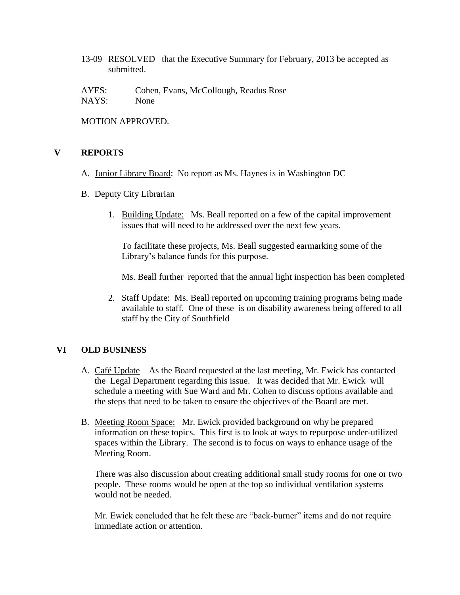13-09 RESOLVED that the Executive Summary for February, 2013 be accepted as submitted.

AYES: Cohen, Evans, McCollough, Readus Rose NAYS: None

MOTION APPROVED.

#### **V REPORTS**

- A. Junior Library Board: No report as Ms. Haynes is in Washington DC
- B. Deputy City Librarian
	- 1. Building Update: Ms. Beall reported on a few of the capital improvement issues that will need to be addressed over the next few years.

To facilitate these projects, Ms. Beall suggested earmarking some of the Library's balance funds for this purpose.

Ms. Beall further reported that the annual light inspection has been completed

2. Staff Update: Ms. Beall reported on upcoming training programs being made available to staff. One of these is on disability awareness being offered to all staff by the City of Southfield

# **VI OLD BUSINESS**

- A. Café Update As the Board requested at the last meeting, Mr. Ewick has contacted the Legal Department regarding this issue. It was decided that Mr. Ewick will schedule a meeting with Sue Ward and Mr. Cohen to discuss options available and the steps that need to be taken to ensure the objectives of the Board are met.
- B. Meeting Room Space: Mr. Ewick provided background on why he prepared information on these topics. This first is to look at ways to repurpose under-utilized spaces within the Library. The second is to focus on ways to enhance usage of the Meeting Room.

There was also discussion about creating additional small study rooms for one or two people. These rooms would be open at the top so individual ventilation systems would not be needed.

Mr. Ewick concluded that he felt these are "back-burner" items and do not require immediate action or attention.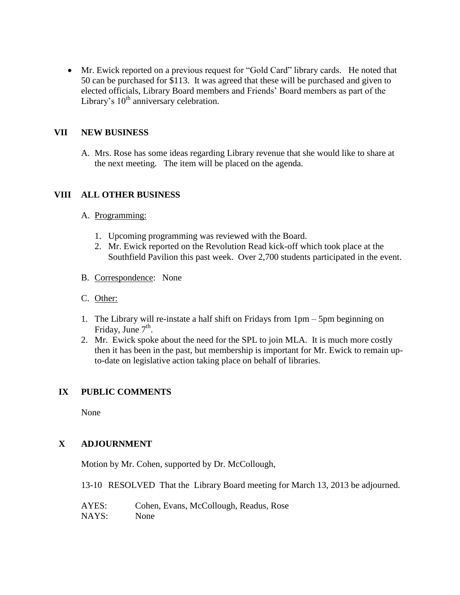Mr. Ewick reported on a previous request for "Gold Card" library cards. He noted that 50 can be purchased for \$113. It was agreed that these will be purchased and given to elected officials, Library Board members and Friends' Board members as part of the Library's  $10<sup>th</sup>$  anniversary celebration.

# **VII NEW BUSINESS**

A. Mrs. Rose has some ideas regarding Library revenue that she would like to share at the next meeting. The item will be placed on the agenda.

# **VIII ALL OTHER BUSINESS**

#### A. Programming:

- 1. Upcoming programming was reviewed with the Board.
- 2. Mr. Ewick reported on the Revolution Read kick-off which took place at the Southfield Pavilion this past week. Over 2,700 students participated in the event.
- B. Correspondence: None
- C. Other:
- 1. The Library will re-instate a half shift on Fridays from 1pm 5pm beginning on Friday, June  $7<sup>th</sup>$ .
- 2. Mr. Ewick spoke about the need for the SPL to join MLA. It is much more costly then it has been in the past, but membership is important for Mr. Ewick to remain upto-date on legislative action taking place on behalf of libraries.

#### **IX PUBLIC COMMENTS**

None

# **X ADJOURNMENT**

Motion by Mr. Cohen, supported by Dr. McCollough,

13-10 RESOLVED That the Library Board meeting for March 13, 2013 be adjourned.

AYES: Cohen, Evans, McCollough, Readus, Rose NAYS: None